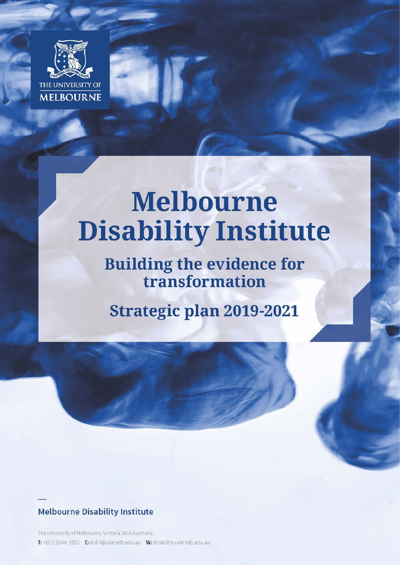

# **Melbourne Disability Institute**

**Building the evidence for<br>transformation** 

**Strategic plan 2019-2021** 

### **Melbourne Disability Institute**

The University of Melbourne, Victoria 3010 Australia T: +61 3 8344 2813 E: md-i@unimelb.edu.au W: disability.unimelb.edu.au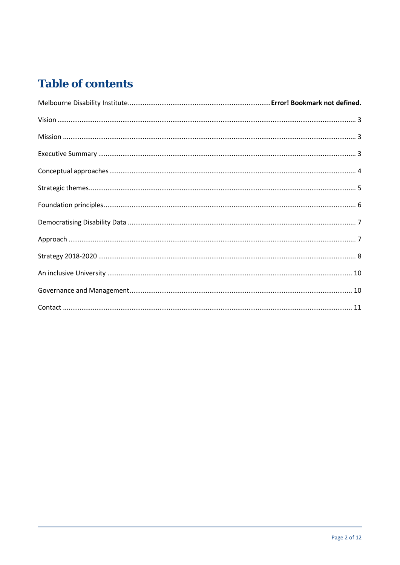### **Table of contents**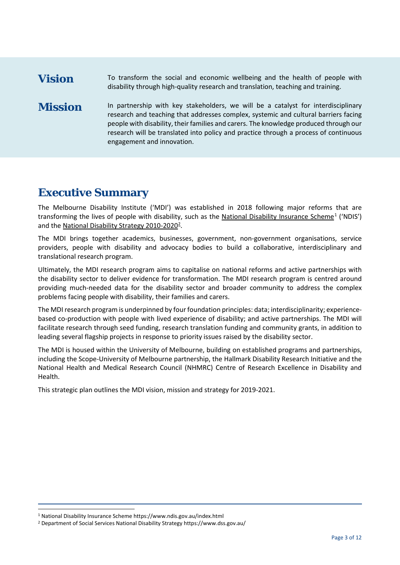### <span id="page-2-0"></span>**Vision** To transform the social and economic wellbeing and the health of people with disability through high-quality research and translation, teaching and training.

<span id="page-2-1"></span>**Mission** In partnership with key stakeholders, we will be a catalyst for interdisciplinary research and teaching that addresses complex, systemic and cultural barriers facing people with disability, their families and carers. The knowledge produced through our research will be translated into policy and practice through a process of continuous engagement and innovation.

### <span id="page-2-2"></span>**Executive Summary**

The Melbourne Disability Institute ('MDI') was established in 2018 following major reforms that are transforming the lives of people with disability, such as the [National Disability Insurance Scheme](https://www.ndis.gov.au/index.html)<sup>[1](#page-2-3)</sup> ('NDIS') and the National Disability Strategy 2010-2020<sup>2</sup>.

The MDI brings together academics, businesses, government, non-government organisations, service providers, people with disability and advocacy bodies to build a collaborative, interdisciplinary and translational research program.

Ultimately, the MDI research program aims to capitalise on national reforms and active partnerships with the disability sector to deliver evidence for transformation. The MDI research program is centred around providing much-needed data for the disability sector and broader community to address the complex problems facing people with disability, their families and carers.

The MDI research program is underpinned by four foundation principles: data; interdisciplinarity; experiencebased co-production with people with lived experience of disability; and active partnerships. The MDI will facilitate research through seed funding, research translation funding and community grants, in addition to leading several flagship projects in response to priority issues raised by the disability sector.

The MDI is housed within the University of Melbourne, building on established programs and partnerships, including the Scope-University of Melbourne partnership, the Hallmark Disability Research Initiative and the National Health and Medical Research Council (NHMRC) Centre of Research Excellence in Disability and Health.

This strategic plan outlines the MDI vision, mission and strategy for 2019-2021.

<span id="page-2-3"></span> <sup>1</sup> National Disability Insurance Scheme https://www.ndis.gov.au/index.html

<span id="page-2-4"></span><sup>2</sup> Department of Social Services National Disability Strategy https://www.dss.gov.au/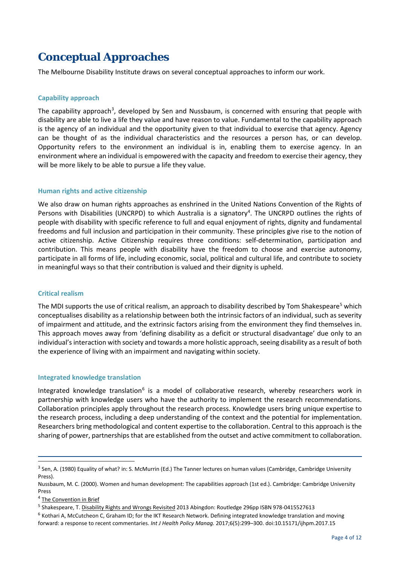### <span id="page-3-0"></span>**Conceptual Approaches**

The Melbourne Disability Institute draws on several conceptual approaches to inform our work.

#### **Capability approach**

The capability approach<sup>[3](#page-3-1)</sup>, developed by Sen and Nussbaum, is concerned with ensuring that people with disability are able to live a life they value and have reason to value. Fundamental to the capability approach is the agency of an individual and the opportunity given to that individual to exercise that agency. Agency can be thought of as the individual characteristics and the resources a person has, or can develop. Opportunity refers to the environment an individual is in, enabling them to exercise agency. In an environment where an individual is empowered with the capacity and freedom to exercise their agency, they will be more likely to be able to pursue a life they value.

#### **Human rights and active citizenship**

We also draw on human rights approaches as enshrined in the United Nations Convention of the Rights of Persons with Disabilities (UNCRPD) to which Australia is a signatory<sup>[4](#page-3-2)</sup>. The UNCRPD outlines the rights of people with disability with specific reference to full and equal enjoyment of rights, dignity and fundamental freedoms and full inclusion and participation in their community. These principles give rise to the notion of active citizenship. Active Citizenship requires three conditions: self-determination, participation and contribution. This means people with disability have the freedom to choose and exercise autonomy, participate in all forms of life, including economic, social, political and cultural life, and contribute to society in meaningful ways so that their contribution is valued and their dignity is upheld.

#### **Critical realism**

The MDI supports the use of critical realism, an approach to disability described by Tom Shakespeare<sup>[5](#page-3-3)</sup> which conceptualises disability as a relationship between both the intrinsic factors of an individual, such as severity of impairment and attitude, and the extrinsic factors arising from the environment they find themselves in. This approach moves away from 'defining disability as a deficit or structural disadvantage' due only to an individual's interaction with society and towards a more holistic approach, seeing disability as a result of both the experience of living with an impairment and navigating within society.

#### **Integrated knowledge translation**

Integrated knowledge translation<sup>[6](#page-3-4)</sup> is a model of collaborative research, whereby researchers work in partnership with knowledge users who have the authority to implement the research recommendations. Collaboration principles apply throughout the research process. Knowledge users bring unique expertise to the research process, including a deep understanding of the context and the potential for implementation. Researchers bring methodological and content expertise to the collaboration. Central to this approach is the sharing of power, partnerships that are established from the outset and active commitment to collaboration.

<span id="page-3-1"></span> $3$  Sen, A. (1980) Equality of what? in: S. McMurrin (Ed.) The Tanner lectures on human values (Cambridge, Cambridge University Press).

Nussbaum, M. C. (2000). Women and human development: The capabilities approach (1st ed.). Cambridge: Cambridge University Press

<span id="page-3-2"></span><sup>&</sup>lt;sup>4</sup> [The Convention in Brief](https://www.un.org/development/desa/disabilities/convention-on-the-rights-of-persons-with-disabilities/the-convention-in-brief.html)

<span id="page-3-3"></span><sup>5</sup> Shakespeare, T[. Disability Rights and Wrongs Revisited](https://www.amazon.com/dp/0415527619/ref=rdr_ext_tmb) 2013 Abingdon: Routledge 296pp ISBN 978-0415527613

<span id="page-3-4"></span> $6$  Kothari A, McCutcheon C, Graham ID; for the IKT Research Network. Defining integrated knowledge translation and moving forward: a response to recent commentaries. *Int J Health Policy Manag.* 2017;6(5):299–300. doi:10.15171/ijhpm.2017.15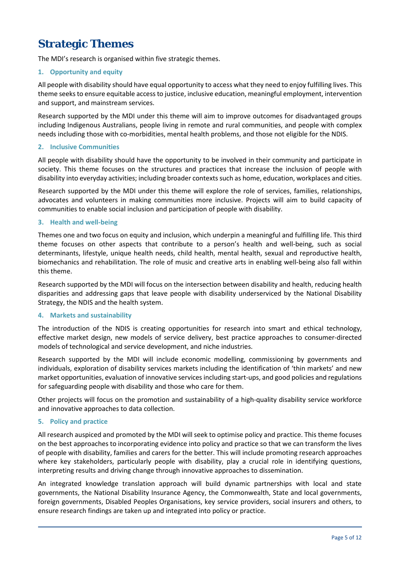### <span id="page-4-0"></span>**Strategic Themes**

The MDI's research is organised within five strategic themes.

### **1. Opportunity and equity**

All people with disability should have equal opportunity to access what they need to enjoy fulfilling lives. This theme seeks to ensure equitable access to justice, inclusive education, meaningful employment, intervention and support, and mainstream services.

Research supported by the MDI under this theme will aim to improve outcomes for disadvantaged groups including Indigenous Australians, people living in remote and rural communities, and people with complex needs including those with co-morbidities, mental health problems, and those not eligible for the NDIS.

#### **2. Inclusive Communities**

All people with disability should have the opportunity to be involved in their community and participate in society. This theme focuses on the structures and practices that increase the inclusion of people with disability into everyday activities; including broader contexts such as home, education, workplaces and cities.

Research supported by the MDI under this theme will explore the role of services, families, relationships, advocates and volunteers in making communities more inclusive. Projects will aim to build capacity of communities to enable social inclusion and participation of people with disability.

### **3. Health and well-being**

Themes one and two focus on equity and inclusion, which underpin a meaningful and fulfilling life. This third theme focuses on other aspects that contribute to a person's health and well-being, such as social determinants, lifestyle, unique health needs, child health, mental health, sexual and reproductive health, biomechanics and rehabilitation. The role of music and creative arts in enabling well-being also fall within this theme.

Research supported by the MDI will focus on the intersection between disability and health, reducing health disparities and addressing gaps that leave people with disability underserviced by the National Disability Strategy, the NDIS and the health system.

#### **4. Markets and sustainability**

The introduction of the NDIS is creating opportunities for research into smart and ethical technology, effective market design, new models of service delivery, best practice approaches to consumer-directed models of technological and service development, and niche industries.

Research supported by the MDI will include economic modelling, commissioning by governments and individuals, exploration of disability services markets including the identification of 'thin markets' and new market opportunities, evaluation of innovative servicesincluding start-ups, and good policies and regulations for safeguarding people with disability and those who care for them.

Other projects will focus on the promotion and sustainability of a high-quality disability service workforce and innovative approaches to data collection.

#### **5. Policy and practice**

All research auspiced and promoted by the MDI will seek to optimise policy and practice. This theme focuses on the best approaches to incorporating evidence into policy and practice so that we can transform the lives of people with disability, families and carers for the better. This will include promoting research approaches where key stakeholders, particularly people with disability, play a crucial role in identifying questions, interpreting results and driving change through innovative approaches to dissemination.

An integrated knowledge translation approach will build dynamic partnerships with local and state governments, the National Disability Insurance Agency, the Commonwealth, State and local governments, foreign governments, Disabled Peoples Organisations, key service providers, social insurers and others, to ensure research findings are taken up and integrated into policy or practice.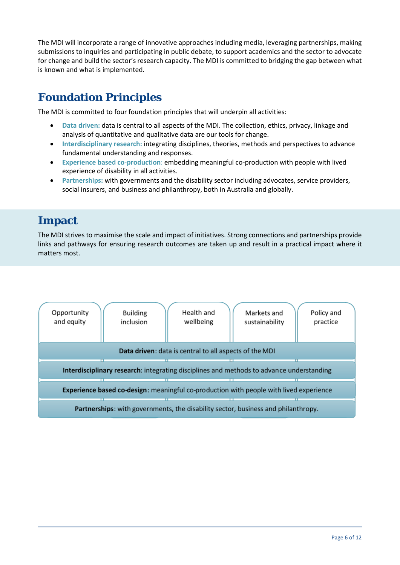The MDI will incorporate a range of innovative approaches including media, leveraging partnerships, making submissions to inquiries and participating in public debate, to support academics and the sector to advocate for change and build the sector's research capacity. The MDI is committed to bridging the gap between what is known and what is implemented.

### <span id="page-5-0"></span>**Foundation Principles**

The MDI is committed to four foundation principles that will underpin all activities:

- **Data driven:** data is central to all aspects of the MDI. The collection, ethics, privacy, linkage and analysis of quantitative and qualitative data are our tools for change.
- **Interdisciplinary research:** integrating disciplines, theories, methods and perspectives to advance fundamental understanding and responses.
- **Experience based co**-**production**: embedding meaningful co-production with people with lived experience of disability in all activities.
- **Partnerships:** with governments and the disability sector including advocates, service providers, social insurers, and business and philanthropy, both in Australia and globally.

### **Impact**

The MDI strives to maximise the scale and impact of initiatives. Strong connections and partnerships provide links and pathways for ensuring research outcomes are taken up and result in a practical impact where it matters most.

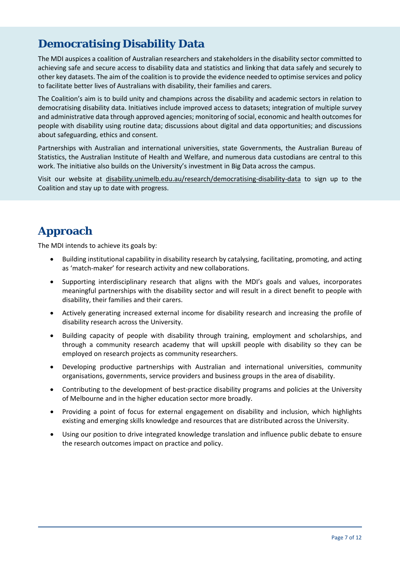### <span id="page-6-0"></span>**Democratising Disability Data**

The MDI auspices a coalition of Australian researchers and stakeholders in the disability sector committed to achieving safe and secure access to disability data and statistics and linking that data safely and securely to other key datasets. The aim of the coalition is to provide the evidence needed to optimise services and policy to facilitate better lives of Australians with disability, their families and carers.

The Coalition's aim is to build unity and champions across the disability and academic sectors in relation to democratising disability data. Initiatives include improved access to datasets; integration of multiple survey and administrative data through approved agencies; monitoring of social, economic and health outcomes for people with disability using routine data; discussions about digital and data opportunities; and discussions about safeguarding, ethics and consent.

Partnerships with Australian and international universities, state Governments, the Australian Bureau of Statistics, the Australian Institute of Health and Welfare, and numerous data custodians are central to this work. The initiative also builds on the University's investment in Big Data across the campus.

Visit our website at [disability.unimelb.edu.au/research/democratising-disability-data](https://disability.unimelb.edu.au/research/democratising-disability-data) to sign up to the Coalition and stay up to date with progress.

### <span id="page-6-1"></span>**Approach**

The MDI intends to achieve its goals by:

- Building institutional capability in disability research by catalysing, facilitating, promoting, and acting as 'match-maker' for research activity and new collaborations.
- Supporting interdisciplinary research that aligns with the MDI's goals and values, incorporates meaningful partnerships with the disability sector and will result in a direct benefit to people with disability, their families and their carers.
- Actively generating increased external income for disability research and increasing the profile of disability research across the University.
- Building capacity of people with disability through training, employment and scholarships, and through a community research academy that will upskill people with disability so they can be employed on research projects as community researchers.
- Developing productive partnerships with Australian and international universities, community organisations, governments, service providers and business groups in the area of disability.
- Contributing to the development of best-practice disability programs and policies at the University of Melbourne and in the higher education sector more broadly.
- Providing a point of focus for external engagement on disability and inclusion, which highlights existing and emerging skills knowledge and resources that are distributed across the University.
- Using our position to drive integrated knowledge translation and influence public debate to ensure the research outcomes impact on practice and policy.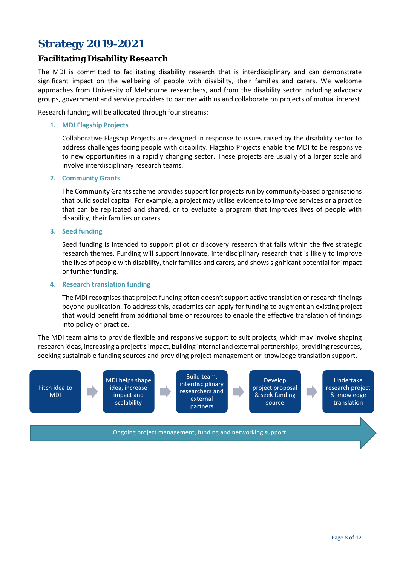### <span id="page-7-0"></span>**Strategy 2019-2021**

### **Facilitating Disability Research**

The MDI is committed to facilitating disability research that is interdisciplinary and can demonstrate significant impact on the wellbeing of people with disability, their families and carers. We welcome approaches from University of Melbourne researchers, and from the disability sector including advocacy groups, government and service providers to partner with us and collaborate on projects of mutual interest.

Research funding will be allocated through four streams:

#### **1. MDI Flagship Projects**

Collaborative Flagship Projects are designed in response to issues raised by the disability sector to address challenges facing people with disability. Flagship Projects enable the MDI to be responsive to new opportunities in a rapidly changing sector. These projects are usually of a larger scale and involve interdisciplinary research teams.

#### **2. Community Grants**

The Community Grants scheme provides support for projects run by community-based organisations that build social capital. For example, a project may utilise evidence to improve services or a practice that can be replicated and shared, or to evaluate a program that improves lives of people with disability, their families or carers.

#### **3. Seed funding**

Seed funding is intended to support pilot or discovery research that falls within the five strategic research themes. Funding will support innovate, interdisciplinary research that is likely to improve the lives of people with disability, their families and carers, and shows significant potential for impact or further funding.

#### **4. Research translation funding**

The MDI recognises that project funding often doesn't support active translation of research findings beyond publication. To address this, academics can apply for funding to augment an existing project that would benefit from additional time or resources to enable the effective translation of findings into policy or practice.

The MDI team aims to provide flexible and responsive support to suit projects, which may involve shaping research ideas, increasing a project's impact, building internal and external partnerships, providing resources, seeking sustainable funding sources and providing project management or knowledge translation support.

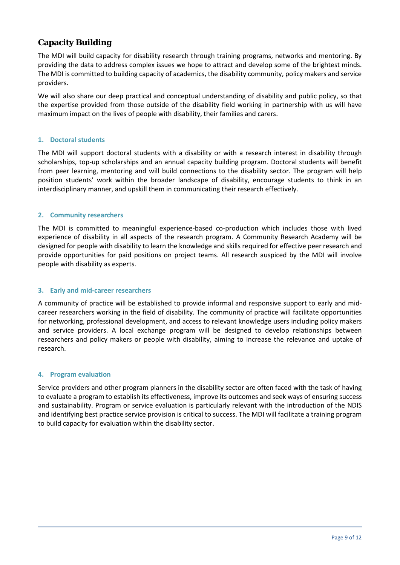### **Capacity Building**

The MDI will build capacity for disability research through training programs, networks and mentoring. By providing the data to address complex issues we hope to attract and develop some of the brightest minds. The MDI is committed to building capacity of academics, the disability community, policy makers and service providers.

We will also share our deep practical and conceptual understanding of disability and public policy, so that the expertise provided from those outside of the disability field working in partnership with us will have maximum impact on the lives of people with disability, their families and carers.

### **1. Doctoral students**

The MDI will support doctoral students with a disability or with a research interest in disability through scholarships, top-up scholarships and an annual capacity building program. Doctoral students will benefit from peer learning, mentoring and will build connections to the disability sector. The program will help position students' work within the broader landscape of disability, encourage students to think in an interdisciplinary manner, and upskill them in communicating their research effectively.

### **2. Community researchers**

The MDI is committed to meaningful experience-based co-production which includes those with lived experience of disability in all aspects of the research program. A Community Research Academy will be designed for people with disability to learn the knowledge and skills required for effective peer research and provide opportunities for paid positions on project teams. All research auspiced by the MDI will involve people with disability as experts.

#### **3. Early and mid-career researchers**

A community of practice will be established to provide informal and responsive support to early and midcareer researchers working in the field of disability. The community of practice will facilitate opportunities for networking, professional development, and access to relevant knowledge users including policy makers and service providers. A local exchange program will be designed to develop relationships between researchers and policy makers or people with disability, aiming to increase the relevance and uptake of research.

#### **4. Program evaluation**

Service providers and other program planners in the disability sector are often faced with the task of having to evaluate a program to establish its effectiveness, improve its outcomes and seek ways of ensuring success and sustainability. Program or service evaluation is particularly relevant with the introduction of the NDIS and identifying best practice service provision is critical to success. The MDI will facilitate a training program to build capacity for evaluation within the disability sector.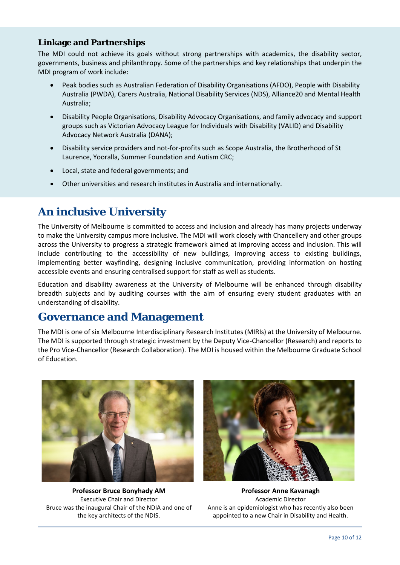### **Linkage and Partnerships**

The MDI could not achieve its goals without strong partnerships with academics, the disability sector, governments, business and philanthropy. Some of the partnerships and key relationships that underpin the MDI program of work include:

- Peak bodies such as Australian Federation of Disability Organisations (AFDO), People with Disability Australia (PWDA), Carers Australia, National Disability Services (NDS), Alliance20 and Mental Health Australia;
- Disability People Organisations, Disability Advocacy Organisations, and family advocacy and support groups such as Victorian Advocacy League for Individuals with Disability (VALID) and Disability Advocacy Network Australia (DANA);
- Disability service providers and not-for-profits such as Scope Australia, the Brotherhood of St Laurence, Yooralla, Summer Foundation and Autism CRC;
- Local, state and federal governments; and
- Other universities and research institutes in Australia and internationally.

### <span id="page-9-0"></span>**An inclusive University**

The University of Melbourne is committed to access and inclusion and already has many projects underway to make the University campus more inclusive. The MDI will work closely with Chancellery and other groups across the University to progress a strategic framework aimed at improving access and inclusion. This will include contributing to the accessibility of new buildings, improving access to existing buildings, implementing better wayfinding, designing inclusive communication, providing information on hosting accessible events and ensuring centralised support for staff as well as students.

Education and disability awareness at the University of Melbourne will be enhanced through disability breadth subjects and by auditing courses with the aim of ensuring every student graduates with an understanding of disability.

### <span id="page-9-1"></span>**Governance and Management**

The MDI is one of six Melbourne Interdisciplinary Research Institutes (MIRIs) at the University of Melbourne. The MDI is supported through strategic investment by the Deputy Vice-Chancellor (Research) and reports to the Pro Vice-Chancellor (Research Collaboration). The MDI is housed within the Melbourne Graduate School of Education.



**Professor Bruce Bonyhady AM** Executive Chair and Director Bruce was the inaugural Chair of the NDIA and one of the key architects of the NDIS.



**Professor Anne Kavanagh** Academic Director Anne is an epidemiologist who has recently also been appointed to a new Chair in Disability and Health.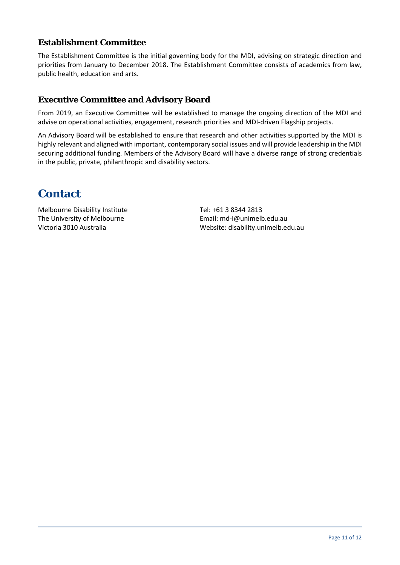### **Establishment Committee**

The Establishment Committee is the initial governing body for the MDI, advising on strategic direction and priorities from January to December 2018. The Establishment Committee consists of academics from law, public health, education and arts.

### **Executive Committee and Advisory Board**

From 2019, an Executive Committee will be established to manage the ongoing direction of the MDI and advise on operational activities, engagement, research priorities and MDI-driven Flagship projects.

An Advisory Board will be established to ensure that research and other activities supported by the MDI is highly relevant and aligned with important, contemporary social issues and will provide leadership in the MDI securing additional funding. Members of the Advisory Board will have a diverse range of strong credentials in the public, private, philanthropic and disability sectors.

### <span id="page-10-0"></span>**Contact**

Melbourne Disability Institute The University of Melbourne Victoria 3010 Australia

Tel: +61 3 8344 2813 Email: md-i@unimelb.edu.au Website: disability.unimelb.edu.au